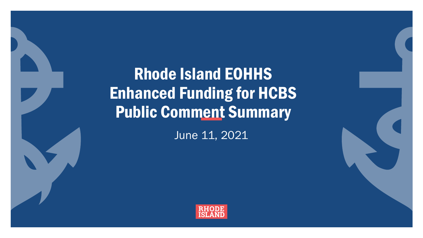Rhode Island EOHHS Enhanced Funding for HCBS Public Comment Summary

June 11, 2021

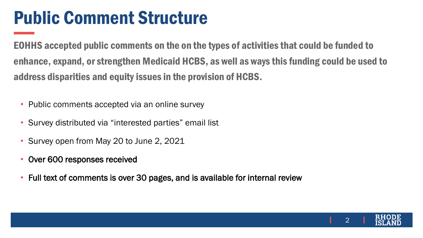# Public Comment Structure

EOHHS accepted public comments on the on the types of activities that could be funded to enhance, expand, or strengthen Medicaid HCBS, as well as ways this funding could be used to address disparities and equity issues in the provision of HCBS.

- Public comments accepted via an online survey
- Survey distributed via "interested parties" email list
- Survey open from May 20 to June 2, 2021
- Over 600 responses received
- Full text of comments is over 30 pages, and is available for internal review

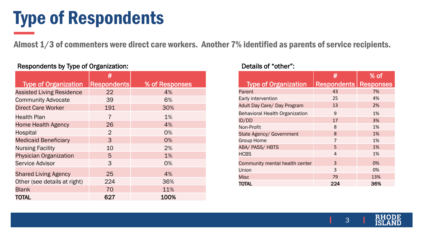# Type of Respondents

Almost 1/3 of commenters were direct care workers. Another 7% identified as parents of service recipients.

|                                  | #                  |                |
|----------------------------------|--------------------|----------------|
| <b>Type of Organization</b>      | <b>Respondents</b> | % of Responses |
| <b>Assisted Living Residence</b> | 22                 | 4%             |
| <b>Community Advocate</b>        | 39                 | 6%             |
| <b>Direct Care Worker</b>        | 191                | 30%            |
| <b>Health Plan</b>               | 7                  | 1%             |
| <b>Home Health Agency</b>        | 26                 | 4%             |
| <b>Hospital</b>                  | 2                  | 0%             |
| <b>Medicaid Beneficiary</b>      | 3                  | 0%             |
| <b>Nursing Facility</b>          | 10                 | 2%             |
| <b>Physician Organization</b>    | 5                  | 1%             |
| <b>Service Advisor</b>           | 3                  | 0%             |
| <b>Shared Living Agency</b>      | 25                 | 4%             |
| Other (see details at right)     | 224                | 36%            |
| <b>Blank</b>                     | 70                 | 11%            |
| TOTAL                            | 627                | 100%           |

### Respondents by Type of Organization: Network and Details of "other":

|                                       | #                              | $\%$ of |
|---------------------------------------|--------------------------------|---------|
| <b>Type of Organization</b>           | <b>Respondents   Responses</b> |         |
| Parent                                | 43                             | 7%      |
| Early intervention                    | 25                             | 4%      |
| Adult Day Care/ Day Program           | 13                             | 2%      |
| <b>Behavioral Health Organization</b> | 9                              | 1%      |
| ID/DD                                 | 17                             | 3%      |
| Non-Profit                            | 8                              | 1%      |
| State Agency/ Government              | $\mathsf{R}$                   | 1%      |
| <b>Group Home</b>                     | 7                              | 1%      |
| <b>ABA/ PASS/ HBTS</b>                | 5                              | 1%      |
| <b>HCBS</b>                           | 4                              | 1%      |
| Community mental health center        | 3                              | 0%      |
| Union                                 | 3                              | 0%      |
| <b>Misc</b>                           | 79                             | 13%     |
| TOTAL                                 | 224                            | 36%     |

3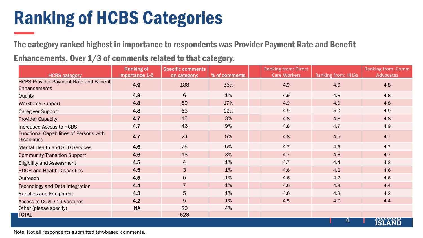# Ranking of HCBS Categories

The category ranked highest in importance to respondents was Provider Payment Rate and Benefit

Enhancements. Over 1/3 of comments related to that category.

|                                                                       | <b>Ranking of</b> | <b>Specific comments</b> |               | <b>Ranking from: Direct</b> |                    | <b>Ranking from: Comm</b> |
|-----------------------------------------------------------------------|-------------------|--------------------------|---------------|-----------------------------|--------------------|---------------------------|
| <b>HCBS category</b>                                                  | importance 1-5    | on category:             | % of comments | <b>Care Workers</b>         | Ranking from: HHAs | <b>Advocates</b>          |
| <b>HCBS Provider Payment Rate and Benefit</b><br><b>Enhancements</b>  | 4.9               | 188                      | 36%           | 4.9                         | 4.9                | 4.8                       |
| Quality                                                               | 4.8               | 6                        | 1%            | 4.9                         | 4.8                | 4.8                       |
| <b>Workforce Support</b>                                              | 4.8               | 89                       | 17%           | 4.9                         | 4.9                | 4.8                       |
| <b>Caregiver Support</b>                                              | 4.8               | 63                       | 12%           | 4.9                         | 5.0                | 4.9                       |
| <b>Provider Capacity</b>                                              | 4.7               | 15                       | 3%            | 4.8                         | 4.8                | 4.8                       |
| <b>Increased Access to HCBS</b>                                       | 4.7               | 46                       | 9%            | 4.8                         | 4.7                | 4.9                       |
| <b>Functional Capabilities of Persons with</b><br><b>Disabilities</b> | 4.7               | 24                       | 5%            | 4.8                         | 4.5                | 4.7                       |
| <b>Mental Health and SUD Services</b>                                 | 4.6               | 25                       | 5%            | 4.7                         | 4.5                | 4.7                       |
| <b>Community Transition Support</b>                                   | 4.6               | 18                       | 3%            | 4.7                         | 4.6                | 4.7                       |
| <b>Eligibility and Assessment</b>                                     | 4.5               | 4                        | 1%            | 4.7                         | 4.4                | 4.2                       |
| <b>SDOH and Health Disparities</b>                                    | 4.5               | 3                        | 1%            | 4.6                         | 4.2                | 4.6                       |
| Outreach                                                              | 4.5               | 5                        | 1%            | 4.6                         | 4.2                | 4.6                       |
| <b>Technology and Data Integration</b>                                | 4.4               | $\overline{7}$           | 1%            | 4.6                         | 4.3                | 4.4                       |
| <b>Supplies and Equipment</b>                                         | 4.3               | 5                        | 1%            | 4.6                         | 4.3                | 4.2                       |
| <b>Access to COVID-19 Vaccines</b>                                    | 4.2               | 5                        | 1%            | 4.5                         | 4.0                | 4.4                       |
| Other (please specify)                                                | <b>NA</b>         | 20                       | 4%            |                             |                    |                           |
| <b>TOTAL</b>                                                          |                   | 523                      |               |                             |                    |                           |
|                                                                       |                   |                          |               |                             | 4                  | <b>ISLAND</b>             |

Note: Not all respondents submitted text-based comments.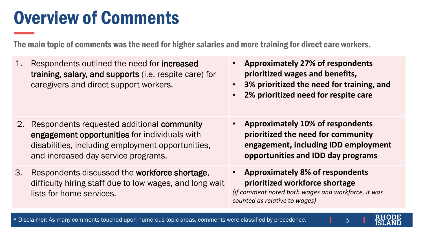# Overview of Comments

The main topic of comments was the need for higher salaries and more training for direct care workers.

- 1. Respondents outlined the need for increased training, salary, and supports (i.e. respite care) for caregivers and direct support workers.
- **Approximately 27% of respondents prioritized wages and benefits,**
- **3% prioritized the need for training, and**
- **2% prioritized need for respite care**

- 2. Respondents requested additional community engagement opportunities for individuals with disabilities, including employment opportunities, and increased day service programs.
- 3. Respondents discussed the workforce shortage, difficulty hiring staff due to low wages, and long wait lists for home services.
- **Approximately 10% of respondents prioritized the need for community engagement, including IDD employment opportunities and IDD day programs**
- **Approximately 8% of respondents prioritized workforce shortage**  *(if comment noted both wages and workforce, it was counted as relative to wages)*

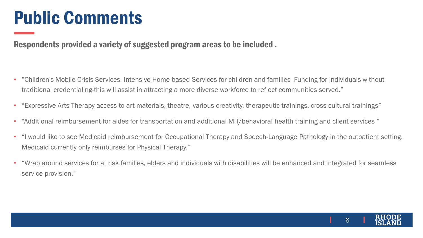# Public Comments

Respondents provided a variety of suggested program areas to be included .

- "Children's Mobile Crisis Services Intensive Home-based Services for children and families Funding for individuals without traditional credentialing-this will assist in attracting a more diverse workforce to reflect communities served."
- "Expressive Arts Therapy access to art materials, theatre, various creativity, therapeutic trainings, cross cultural trainings"
- "Additional reimbursement for aides for transportation and additional MH/behavioral health training and client services "
- "I would like to see Medicaid reimbursement for Occupational Therapy and Speech-Language Pathology in the outpatient setting. Medicaid currently only reimburses for Physical Therapy."
- "Wrap around services for at risk families, elders and individuals with disabilities will be enhanced and integrated for seamless service provision."

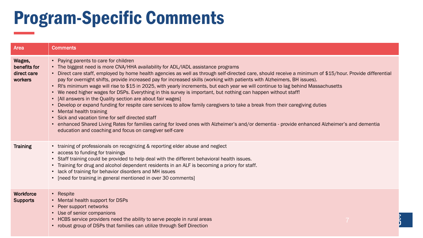# Program-Specific Comments

| Area                                             | <b>Comments</b>                                                                                                                                                                                                                                                                                                                                                                                                                                                                                                                                                                                                                                                                                                                                                                                                                                                                                                                                                                                                                                                                                                                                                       |
|--------------------------------------------------|-----------------------------------------------------------------------------------------------------------------------------------------------------------------------------------------------------------------------------------------------------------------------------------------------------------------------------------------------------------------------------------------------------------------------------------------------------------------------------------------------------------------------------------------------------------------------------------------------------------------------------------------------------------------------------------------------------------------------------------------------------------------------------------------------------------------------------------------------------------------------------------------------------------------------------------------------------------------------------------------------------------------------------------------------------------------------------------------------------------------------------------------------------------------------|
| Wages,<br>benefits for<br>direct care<br>workers | • Paying parents to care for children<br>• The biggest need is more CNA/HHA availability for ADL/IADL assistance programs<br>• Direct care staff, employed by home health agencies as well as through self-directed care, should receive a minimum of \$15/hour. Provide differential<br>pay for overnight shifts, provide increased pay for increased skills (working with patients with Alzheimers, BH issues).<br>• RI's minimum wage will rise to \$15 in 2025, with yearly increments, but each year we will continue to lag behind Massachusetts<br>• We need higher wages for DSPs. Everything in this survey is important, but nothing can happen without staff!<br>• [All answers in the Quality section are about fair wages]<br>• Develop or expand funding for respite care services to allow family caregivers to take a break from their caregiving duties<br>• Mental health training<br>• Sick and vacation time for self directed staff<br>• enhanced Shared Living Rates for families caring for loved ones with Alzheimer's and/or dementia - provide enhanced Alzheimer's and dementia<br>education and coaching and focus on caregiver self-care |
| <b>Training</b>                                  | • training of professionals on recognizing & reporting elder abuse and neglect<br>• access to funding for trainings<br>• Staff training could be provided to help deal with the different behavioral health issues.<br>• Training for drug and alcohol dependent residents in an ALF is becoming a priory for staff.<br>• lack of training for behavior disorders and MH issues<br>• [need for training in general mentioned in over 30 comments]                                                                                                                                                                                                                                                                                                                                                                                                                                                                                                                                                                                                                                                                                                                     |
| Workforce<br><b>Supports</b>                     | • Respite<br>• Mental health support for DSPs<br>• Peer support networks<br>• Use of senior companions<br>• HCBS service providers need the ability to serve people in rural areas<br>• robust group of DSPs that families can utilize through Self Direction                                                                                                                                                                                                                                                                                                                                                                                                                                                                                                                                                                                                                                                                                                                                                                                                                                                                                                         |